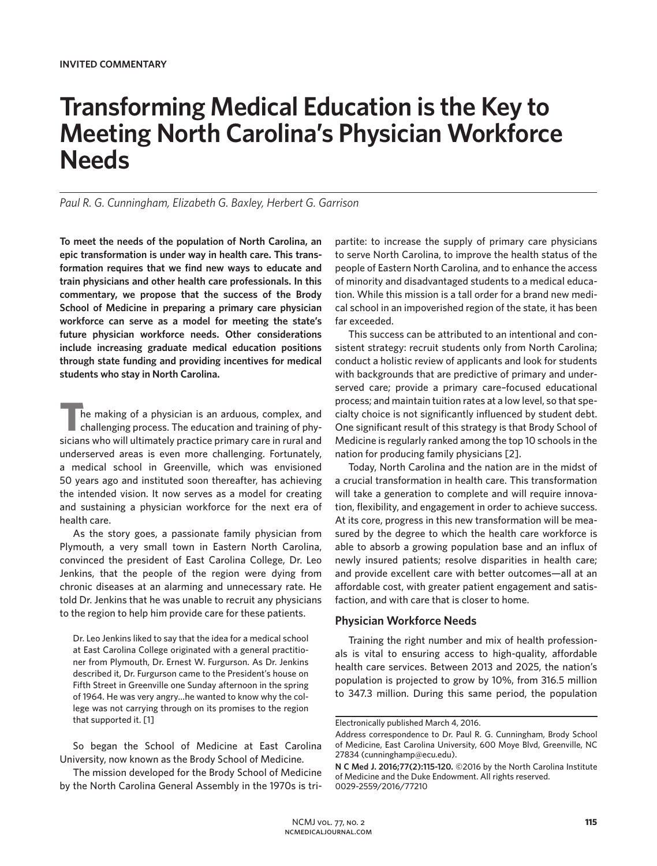# **Transforming Medical Education is the Key to Meeting North Carolina's Physician Workforce Needs**

### *Paul R. G. Cunningham, Elizabeth G. Baxley, Herbert G. Garrison*

**To meet the needs of the population of North Carolina, an epic transformation is under way in health care. This transformation requires that we find new ways to educate and train physicians and other health care professionals. In this commentary, we propose that the success of the Brody School of Medicine in preparing a primary care physician workforce can serve as a model for meeting the state's future physician workforce needs. Other considerations include increasing graduate medical education positions through state funding and providing incentives for medical students who stay in North Carolina.**

The making of a physician is an arduous, complex, and challenging process. The education and training of physicians who will ultimately practice primary care in rural and underserved areas is even more challenging. Fortunately, a medical school in Greenville, which was envisioned 50 years ago and instituted soon thereafter, has achieving the intended vision. It now serves as a model for creating and sustaining a physician workforce for the next era of health care.

As the story goes, a passionate family physician from Plymouth, a very small town in Eastern North Carolina, convinced the president of East Carolina College, Dr. Leo Jenkins, that the people of the region were dying from chronic diseases at an alarming and unnecessary rate. He told Dr. Jenkins that he was unable to recruit any physicians to the region to help him provide care for these patients.

Dr. Leo Jenkins liked to say that the idea for a medical school at East Carolina College originated with a general practitioner from Plymouth, Dr. Ernest W. Furgurson. As Dr. Jenkins described it, Dr. Furgurson came to the President's house on Fifth Street in Greenville one Sunday afternoon in the spring of 1964. He was very angry…he wanted to know why the college was not carrying through on its promises to the region that supported it. [1]

So began the School of Medicine at East Carolina University, now known as the Brody School of Medicine.

The mission developed for the Brody School of Medicine by the North Carolina General Assembly in the 1970s is tripartite: to increase the supply of primary care physicians to serve North Carolina, to improve the health status of the people of Eastern North Carolina, and to enhance the access of minority and disadvantaged students to a medical education. While this mission is a tall order for a brand new medical school in an impoverished region of the state, it has been far exceeded.

This success can be attributed to an intentional and consistent strategy: recruit students only from North Carolina; conduct a holistic review of applicants and look for students with backgrounds that are predictive of primary and underserved care; provide a primary care–focused educational process; and maintain tuition rates at a low level, so that specialty choice is not significantly influenced by student debt. One significant result of this strategy is that Brody School of Medicine is regularly ranked among the top 10 schools in the nation for producing family physicians [2].

Today, North Carolina and the nation are in the midst of a crucial transformation in health care. This transformation will take a generation to complete and will require innovation, flexibility, and engagement in order to achieve success. At its core, progress in this new transformation will be measured by the degree to which the health care workforce is able to absorb a growing population base and an influx of newly insured patients; resolve disparities in health care; and provide excellent care with better outcomes—all at an affordable cost, with greater patient engagement and satisfaction, and with care that is closer to home.

### **Physician Workforce Needs**

Training the right number and mix of health professionals is vital to ensuring access to high-quality, affordable health care services. Between 2013 and 2025, the nation's population is projected to grow by 10%, from 316.5 million to 347.3 million. During this same period, the population

Electronically published March 4, 2016.

Address correspondence to Dr. Paul R. G. Cunningham, Brody School of Medicine, East Carolina University, 600 Moye Blvd, Greenville, NC 27834 (cunninghamp@ecu.edu).

**N C Med J. 2016;77(2):115-120.** ©2016 by the North Carolina Institute of Medicine and the Duke Endowment. All rights reserved. 0029-2559/2016/77210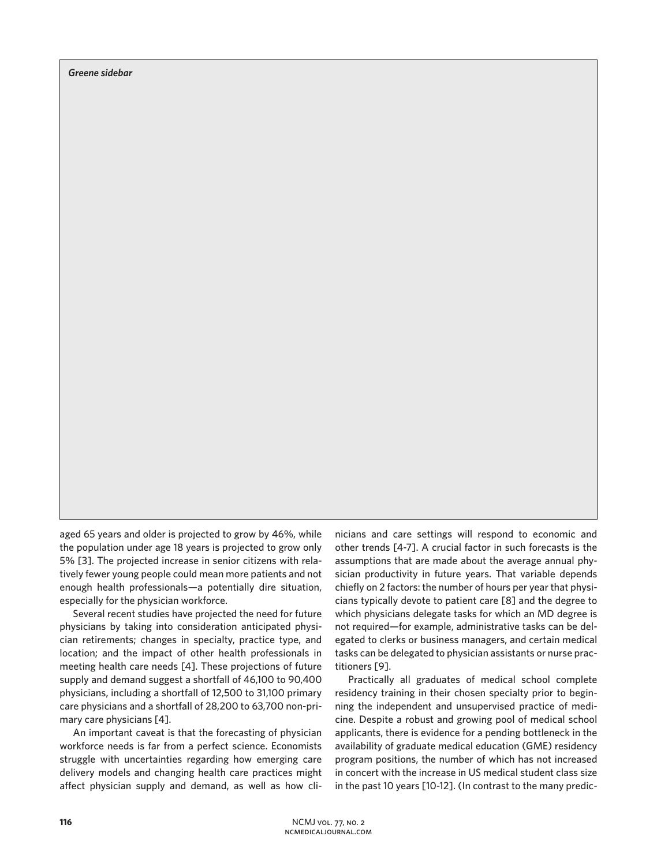*Greene sidebar*

aged 65 years and older is projected to grow by 46%, while the population under age 18 years is projected to grow only 5% [3]. The projected increase in senior citizens with relatively fewer young people could mean more patients and not enough health professionals—a potentially dire situation, especially for the physician workforce.

Several recent studies have projected the need for future physicians by taking into consideration anticipated physician retirements; changes in specialty, practice type, and location; and the impact of other health professionals in meeting health care needs [4]. These projections of future supply and demand suggest a shortfall of 46,100 to 90,400 physicians, including a shortfall of 12,500 to 31,100 primary care physicians and a shortfall of 28,200 to 63,700 non-primary care physicians [4].

An important caveat is that the forecasting of physician workforce needs is far from a perfect science. Economists struggle with uncertainties regarding how emerging care delivery models and changing health care practices might affect physician supply and demand, as well as how clinicians and care settings will respond to economic and other trends [4-7]. A crucial factor in such forecasts is the assumptions that are made about the average annual physician productivity in future years. That variable depends chiefly on 2 factors: the number of hours per year that physicians typically devote to patient care [8] and the degree to which physicians delegate tasks for which an MD degree is not required—for example, administrative tasks can be delegated to clerks or business managers, and certain medical tasks can be delegated to physician assistants or nurse practitioners [9].

Practically all graduates of medical school complete residency training in their chosen specialty prior to beginning the independent and unsupervised practice of medicine. Despite a robust and growing pool of medical school applicants, there is evidence for a pending bottleneck in the availability of graduate medical education (GME) residency program positions, the number of which has not increased in concert with the increase in US medical student class size in the past 10 years [10-12]. (In contrast to the many predic-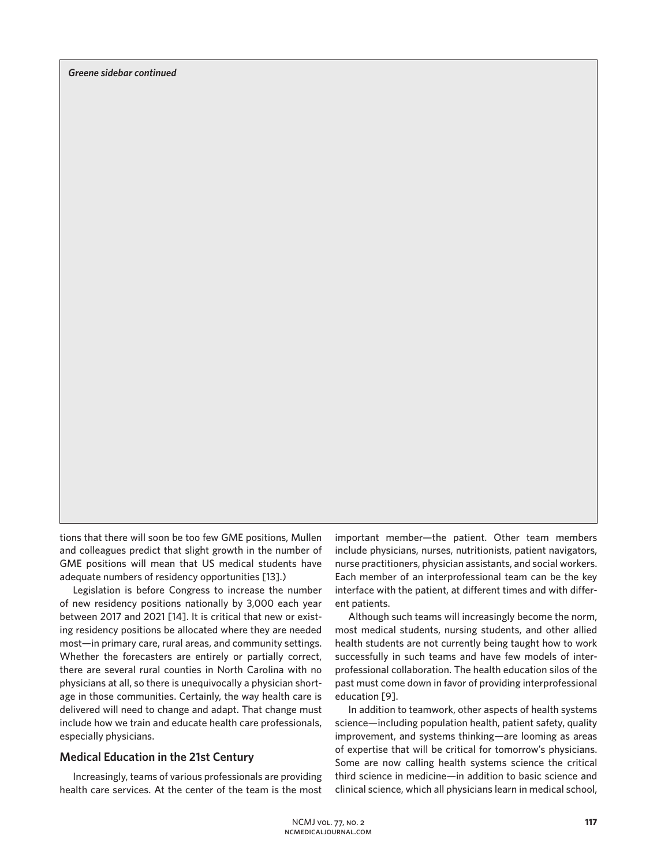tions that there will soon be too few GME positions, Mullen and colleagues predict that slight growth in the number of GME positions will mean that US medical students have adequate numbers of residency opportunities [13].)

Legislation is before Congress to increase the number of new residency positions nationally by 3,000 each year between 2017 and 2021 [14]. It is critical that new or existing residency positions be allocated where they are needed most—in primary care, rural areas, and community settings. Whether the forecasters are entirely or partially correct, there are several rural counties in North Carolina with no physicians at all, so there is unequivocally a physician shortage in those communities. Certainly, the way health care is delivered will need to change and adapt. That change must include how we train and educate health care professionals, especially physicians.

#### **Medical Education in the 21st Century**

Increasingly, teams of various professionals are providing health care services. At the center of the team is the most important member—the patient. Other team members include physicians, nurses, nutritionists, patient navigators, nurse practitioners, physician assistants, and social workers. Each member of an interprofessional team can be the key interface with the patient, at different times and with different patients.

Although such teams will increasingly become the norm, most medical students, nursing students, and other allied health students are not currently being taught how to work successfully in such teams and have few models of interprofessional collaboration. The health education silos of the past must come down in favor of providing interprofessional education [9].

In addition to teamwork, other aspects of health systems science—including population health, patient safety, quality improvement, and systems thinking—are looming as areas of expertise that will be critical for tomorrow's physicians. Some are now calling health systems science the critical third science in medicine—in addition to basic science and clinical science, which all physicians learn in medical school,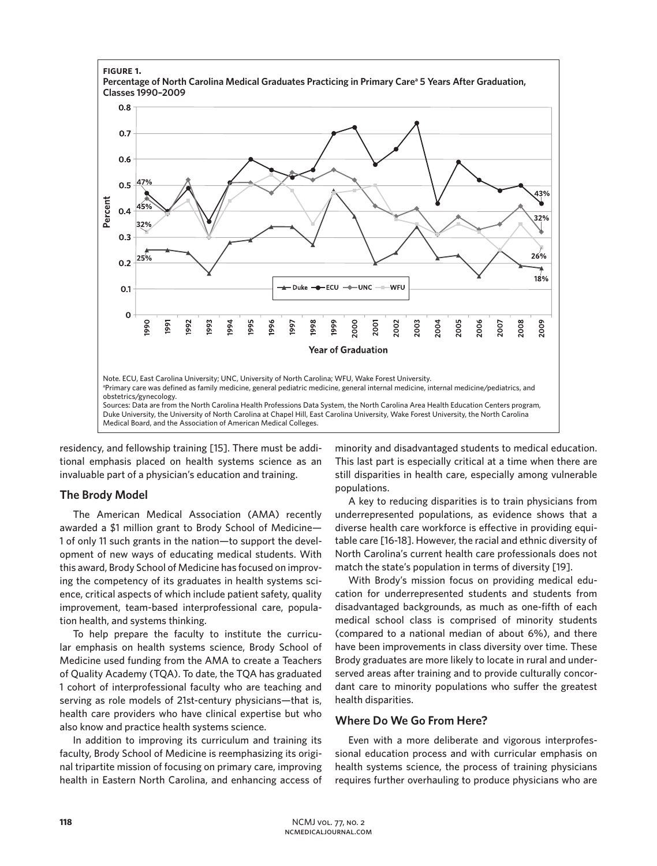

residency, and fellowship training [15]. There must be additional emphasis placed on health systems science as an invaluable part of a physician's education and training.

## **The Brody Model**

The American Medical Association (AMA) recently awarded a \$1 million grant to Brody School of Medicine— 1 of only 11 such grants in the nation—to support the development of new ways of educating medical students. With this award, Brody School of Medicine has focused on improving the competency of its graduates in health systems science, critical aspects of which include patient safety, quality improvement, team-based interprofessional care, population health, and systems thinking.

To help prepare the faculty to institute the curricular emphasis on health systems science, Brody School of Medicine used funding from the AMA to create a Teachers of Quality Academy (TQA). To date, the TQA has graduated 1 cohort of interprofessional faculty who are teaching and serving as role models of 21st-century physicians—that is, health care providers who have clinical expertise but who also know and practice health systems science.

In addition to improving its curriculum and training its faculty, Brody School of Medicine is reemphasizing its original tripartite mission of focusing on primary care, improving health in Eastern North Carolina, and enhancing access of minority and disadvantaged students to medical education. This last part is especially critical at a time when there are still disparities in health care, especially among vulnerable populations.

A key to reducing disparities is to train physicians from underrepresented populations, as evidence shows that a diverse health care workforce is effective in providing equitable care [16-18]. However, the racial and ethnic diversity of North Carolina's current health care professionals does not match the state's population in terms of diversity [19].

With Brody's mission focus on providing medical education for underrepresented students and students from disadvantaged backgrounds, as much as one-fifth of each medical school class is comprised of minority students (compared to a national median of about 6%), and there have been improvements in class diversity over time. These Brody graduates are more likely to locate in rural and underserved areas after training and to provide culturally concordant care to minority populations who suffer the greatest health disparities.

## **Where Do We Go From Here?**

Even with a more deliberate and vigorous interprofessional education process and with curricular emphasis on health systems science, the process of training physicians requires further overhauling to produce physicians who are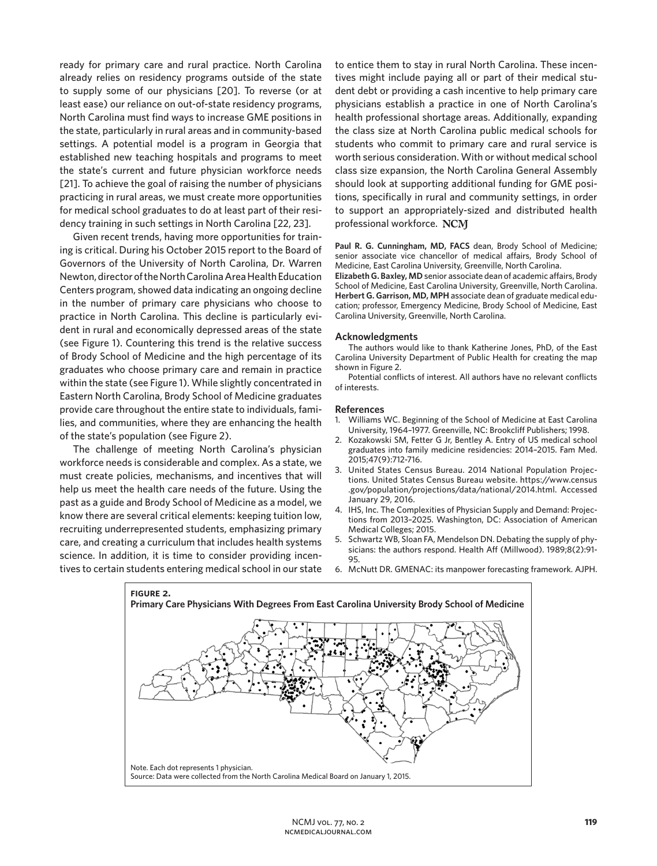ready for primary care and rural practice. North Carolina already relies on residency programs outside of the state to supply some of our physicians [20]. To reverse (or at least ease) our reliance on out-of-state residency programs, North Carolina must find ways to increase GME positions in the state, particularly in rural areas and in community-based settings. A potential model is a program in Georgia that established new teaching hospitals and programs to meet the state's current and future physician workforce needs [21]. To achieve the goal of raising the number of physicians practicing in rural areas, we must create more opportunities for medical school graduates to do at least part of their residency training in such settings in North Carolina [22, 23].

Given recent trends, having more opportunities for training is critical. During his October 2015 report to the Board of Governors of the University of North Carolina, Dr. Warren Newton, director of the North Carolina Area Health Education Centers program, showed data indicating an ongoing decline in the number of primary care physicians who choose to practice in North Carolina. This decline is particularly evident in rural and economically depressed areas of the state (see Figure 1). Countering this trend is the relative success of Brody School of Medicine and the high percentage of its graduates who choose primary care and remain in practice within the state (see Figure 1). While slightly concentrated in Eastern North Carolina, Brody School of Medicine graduates provide care throughout the entire state to individuals, families, and communities, where they are enhancing the health of the state's population (see Figure 2).

The challenge of meeting North Carolina's physician workforce needs is considerable and complex. As a state, we must create policies, mechanisms, and incentives that will help us meet the health care needs of the future. Using the past as a guide and Brody School of Medicine as a model, we know there are several critical elements: keeping tuition low, recruiting underrepresented students, emphasizing primary care, and creating a curriculum that includes health systems science. In addition, it is time to consider providing incentives to certain students entering medical school in our state to entice them to stay in rural North Carolina. These incentives might include paying all or part of their medical student debt or providing a cash incentive to help primary care physicians establish a practice in one of North Carolina's health professional shortage areas. Additionally, expanding the class size at North Carolina public medical schools for students who commit to primary care and rural service is worth serious consideration. With or without medical school class size expansion, the North Carolina General Assembly should look at supporting additional funding for GME positions, specifically in rural and community settings, in order to support an appropriately-sized and distributed health professional workforce. NCM

**Paul R. G. Cunningham, MD, FACS** dean, Brody School of Medicine; senior associate vice chancellor of medical affairs, Brody School of Medicine, East Carolina University, Greenville, North Carolina.

**Elizabeth G. Baxley, MD** senior associate dean of academic affairs, Brody School of Medicine, East Carolina University, Greenville, North Carolina. **Herbert G. Garrison, MD, MPH** associate dean of graduate medical education; professor, Emergency Medicine, Brody School of Medicine, East Carolina University, Greenville, North Carolina.

#### **Acknowledgments**

The authors would like to thank Katherine Jones, PhD, of the East Carolina University Department of Public Health for creating the map shown in Figure 2.

Potential conflicts of interest. All authors have no relevant conflicts of interests.

#### **References**

- 1. Williams WC. Beginning of the School of Medicine at East Carolina University, 1964–1977. Greenville, NC: Brookcliff Publishers; 1998.
- 2. Kozakowski SM, Fetter G Jr, Bentley A. Entry of US medical school graduates into family medicine residencies: 2014–2015. Fam Med. 2015;47(9):712-716.
- 3. United States Census Bureau. 2014 National Population Projections. United States Census Bureau website. https://www.census .gov/population/projections/data/national/2014.html. Accessed January 29, 2016.
- 4. IHS, Inc. The Complexities of Physician Supply and Demand: Projections from 2013–2025. Washington, DC: Association of American Medical Colleges; 2015.
- 5. Schwartz WB, Sloan FA, Mendelson DN. Debating the supply of physicians: the authors respond. Health Aff (Millwood). 1989;8(2):91- 95.
- 6. McNutt DR. GMENAC: its manpower forecasting framework. AJPH.